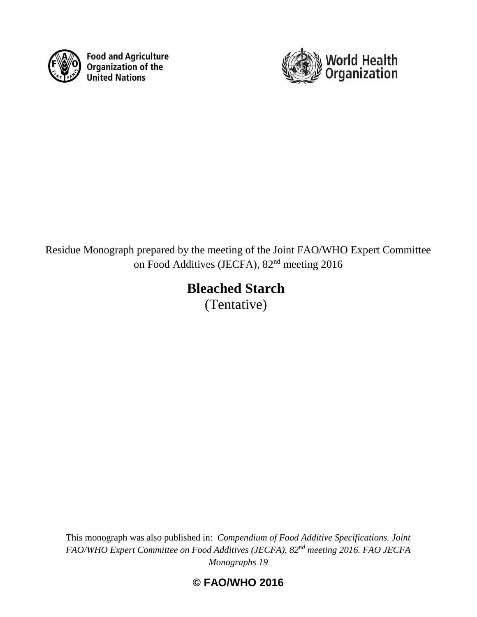

**Food and Agriculture Code and Agriculture**<br>**Organization of the**<br>**United Nations** 



# Residue Monograph prepared by the meeting of the Joint FAO/WHO Expert Committee on Food Additives (JECFA), 82nd meeting 2016

# **Bleached Starch**

(Tentative)

This monograph was also published in: *Compendium of Food Additive Specifications. Joint FAO/WHO Expert Committee on Food Additives (JECFA), 82nd meeting 2016. FAO JECFA Monographs 19*

**© FAO/WHO 2016**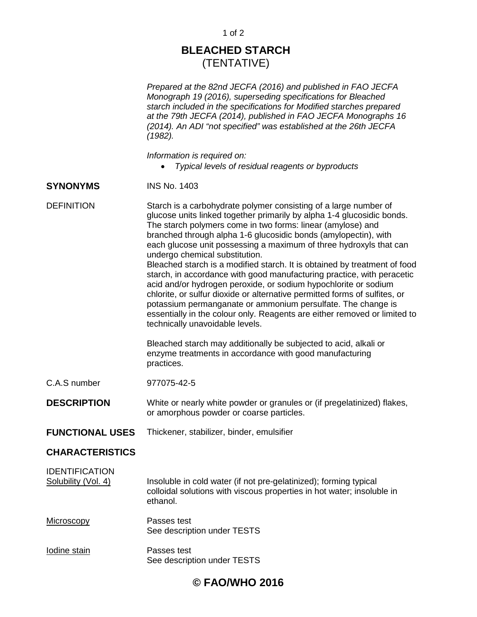## **BLEACHED STARCH** (TENTATIVE)

*Prepared at the 82nd JECFA (2016) and published in FAO JECFA Monograph 19 (2016), superseding specifications for Bleached starch included in the specifications for Modified starches prepared at the 79th JECFA (2014), published in FAO JECFA Monographs 16 (2014). An ADI "not specified" was established at the 26th JECFA (1982).*

*Information is required on:*

• *Typical levels of residual reagents or byproducts*

### **SYNONYMS** INS No. 1403

DEFINITION Starch is a carbohydrate polymer consisting of a large number of glucose units linked together primarily by alpha 1-4 glucosidic bonds. The starch polymers come in two forms: linear (amylose) and branched through alpha 1-6 glucosidic bonds (amylopectin), with each glucose unit possessing a maximum of three hydroxyls that can undergo chemical substitution. Bleached starch is a modified starch. It is obtained by treatment of food

starch, in accordance with good manufacturing practice, with peracetic acid and/or hydrogen peroxide, or sodium hypochlorite or sodium chlorite, or sulfur dioxide or alternative permitted forms of sulfites, or potassium permanganate or ammonium persulfate. The change is essentially in the colour only. Reagents are either removed or limited to technically unavoidable levels.

Bleached starch may additionally be subjected to acid, alkali or enzyme treatments in accordance with good manufacturing practices.

C.A.S number 977075-42-5

**DESCRIPTION** White or nearly white powder or granules or (if pregelatinized) flakes, or amorphous powder or coarse particles.

**FUNCTIONAL USES** Thickener, stabilizer, binder, emulsifier

### **CHARACTERISTICS**

IDENTIFICATION

| Solubility (Vol. 4) | Insoluble in cold water (if not pre-gelatinized); forming typical      |
|---------------------|------------------------------------------------------------------------|
|                     | colloidal solutions with viscous properties in hot water; insoluble in |
|                     | ethanol.                                                               |

- Microscopy Passes test See description under TESTS
- Iodine stain Passes test See description under TESTS

### **© FAO/WHO 2016**